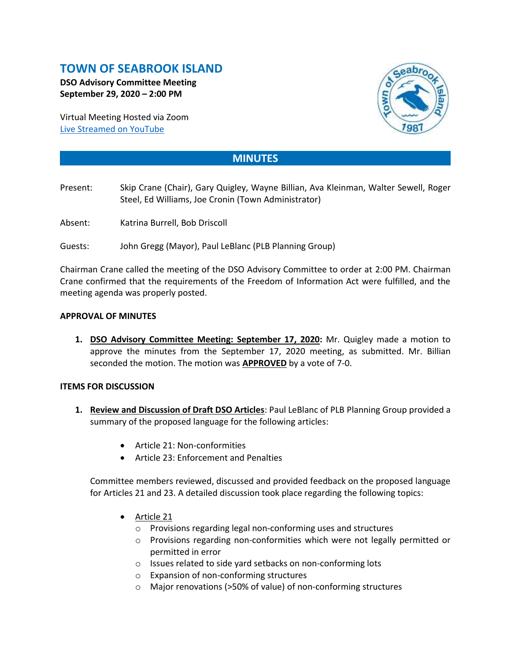# **TOWN OF SEABROOK ISLAND**

**DSO Advisory Committee Meeting September 29, 2020 – 2:00 PM**

Virtual Meeting Hosted via Zoom [Live Streamed on](https://www.youtube.com/channel/UCIkF87knEApHD1q0kGlaGZg) YouTube



## **MINUTES**

- Present: Skip Crane (Chair), Gary Quigley, Wayne Billian, Ava Kleinman, Walter Sewell, Roger Steel, Ed Williams, Joe Cronin (Town Administrator)
- Absent: Katrina Burrell, Bob Driscoll
- Guests: John Gregg (Mayor), Paul LeBlanc (PLB Planning Group)

Chairman Crane called the meeting of the DSO Advisory Committee to order at 2:00 PM. Chairman Crane confirmed that the requirements of the Freedom of Information Act were fulfilled, and the meeting agenda was properly posted.

#### **APPROVAL OF MINUTES**

**1. DSO Advisory Committee Meeting: September 17, 2020:** Mr. Quigley made a motion to approve the minutes from the September 17, 2020 meeting, as submitted. Mr. Billian seconded the motion. The motion was **APPROVED** by a vote of 7-0.

#### **ITEMS FOR DISCUSSION**

- **1. Review and Discussion of Draft DSO Articles**: Paul LeBlanc of PLB Planning Group provided a summary of the proposed language for the following articles:
	- Article 21: Non-conformities
	- Article 23: Enforcement and Penalties

Committee members reviewed, discussed and provided feedback on the proposed language for Articles 21 and 23. A detailed discussion took place regarding the following topics:

- Article 21
	- o Provisions regarding legal non-conforming uses and structures
	- o Provisions regarding non-conformities which were not legally permitted or permitted in error
	- o Issues related to side yard setbacks on non-conforming lots
	- o Expansion of non-conforming structures
	- o Major renovations (>50% of value) of non-conforming structures